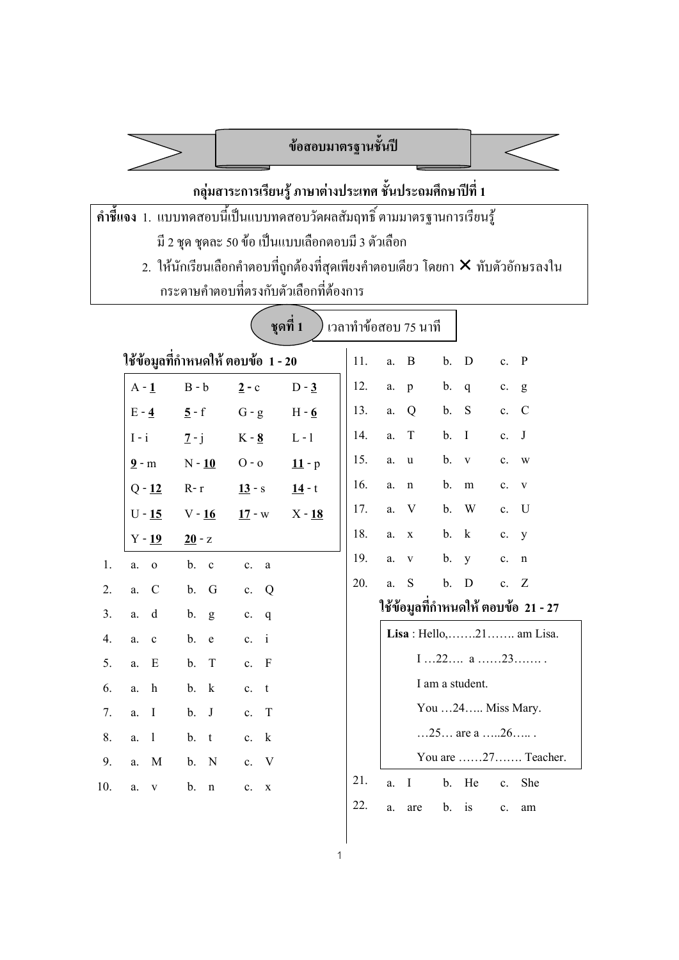# **ขอสอบมาตรฐานชั้นป**

## **กลุมสาระการเรียนรู ภาษาตางประเทศ ชั้นประถมศึกษาปที่ 1**

- **คําชี้แจง** 1. แบบทดสอบนี้เปนแบบทดสอบวัดผลสัมฤทธิ์ ตามมาตรฐานการเรียนรู มี 2 ชุด ชุดละ 50 ขอ เปนแบบเลือกตอบมี 3 ตัวเลือก
	- 2. ให้นักเรียนเลือกคำตอบที่ถูกต้องที่สุดเพียงคำตอบเดียว โดยกา  $\bm{\times}$  ทับตัวอักษรลงใน กระดาษคําตอบที่ตรงกับตัวเลือกที่ตองการ

| ชุดที่ 1<br>เวลาทำข้อสอบ 75 นาที |                        |                                     |                             |          |     |    |              |       |                   |                |                                      |
|----------------------------------|------------------------|-------------------------------------|-----------------------------|----------|-----|----|--------------|-------|-------------------|----------------|--------------------------------------|
|                                  |                        | ใช้ข้อมูลที่กำหนดให้ ตอบข้อ  1 - 20 |                             |          | 11. | a. | B            | $b$ . | D                 | c. P           |                                      |
|                                  | $A - 1$                | $B - b$                             | $2 - c$                     | $D - 3$  | 12. | a. | p            | b.    | $\mathbf{q}$      | c.             | g                                    |
|                                  | $E - 4$                | $5 - f$                             | $G - g$                     | $H - 6$  | 13. | a. | Q            | b.    | S                 | c.             | $\mathcal{C}$                        |
|                                  | $I - i$                | $7 - j$                             | $K - 8$                     | $L - 1$  | 14. | a. | T            | $b$ . | $\bf{I}$          | $\mathbf{c}$ . | J                                    |
|                                  | $9 - m$                | $N - 10$                            | $O - 0$                     | $11 - p$ | 15. | a. | u            | b.    | $\mathbf{V}$      | c.             | W                                    |
|                                  | $Q - 12$               | $R-r$                               | $13 - s$                    | $14 - t$ | 16. | a. | n            | b.    | m                 | $\mathbf{c}$ . | V                                    |
|                                  | $U - 15$               | $V - 16$                            | $17 - w$                    | $X - 18$ | 17. | a. | V            | b.    | W                 | $\mathbf{c}$ . | U                                    |
|                                  | $Y - 19$               | $20 - z$                            |                             |          | 18. | a. | $\mathbf X$  | b.    | $\bf k$           | c.             | y                                    |
| 1.                               | $\mathbf{o}$<br>a.     | b.<br>$\mathbf{c}$                  | c.<br>a                     |          | 19. | a. | $\mathbf V$  | b.    | y                 | $\mathbf{c}$ . | n                                    |
| 2.                               | $\mathcal{C}$<br>a.    | b.<br>G                             | $\overline{Q}$<br>c.        |          | 20. | a. | S            | $b$ . | $\mathbf D$       | c. Z           |                                      |
| 3.                               | d<br>a.                | b.<br>g                             | c.<br>$\mathbf{q}$          |          |     |    |              |       |                   |                | ใช้ข้อมูลที่กำหนดให้ ตอบข้อ  21 - 27 |
| 4.                               | a.<br>$\mathbf c$      | b.<br>${\bf e}$                     | c. i                        |          |     |    |              |       |                   |                | Lisa : Hello,   21   . am Lisa.      |
| 5.                               | E<br>a.                | T<br>b.                             | c. F                        |          |     |    |              |       | 122 a23           |                |                                      |
| 6.                               | $\boldsymbol{h}$<br>a. | b.<br>$\bf k$                       | $-t$<br>c.                  |          |     |    |              |       | I am a student.   |                |                                      |
| 7.                               | $\bf{I}$<br>a.         | J<br>b.                             | $\mathbf T$<br>c.           |          |     |    |              |       | You 24 Miss Mary. |                |                                      |
| 8.                               | $\mathbf{1}$<br>a.     | b.<br>t                             | $\mathbf{k}$<br>$c_{\cdot}$ |          |     |    |              |       | 25 are a 26       |                |                                      |
| 9.                               | M<br>a.                | N<br>b.                             | $\mathbf{V}$<br>$c_{\cdot}$ |          |     |    |              |       |                   |                | You are 27 Teacher.                  |
| 10.                              | a.<br>$\mathbf V$      | b.<br>$\mathbf n$                   | $c_{\cdot}$<br>$\mathbf X$  |          | 21. | a. | $\mathbf{I}$ | b.    | He                | $c_{\cdot}$    | She                                  |
|                                  |                        |                                     |                             |          | 22. | a. | are          | b.    | is                | $\mathbf{c}.$  | am                                   |

1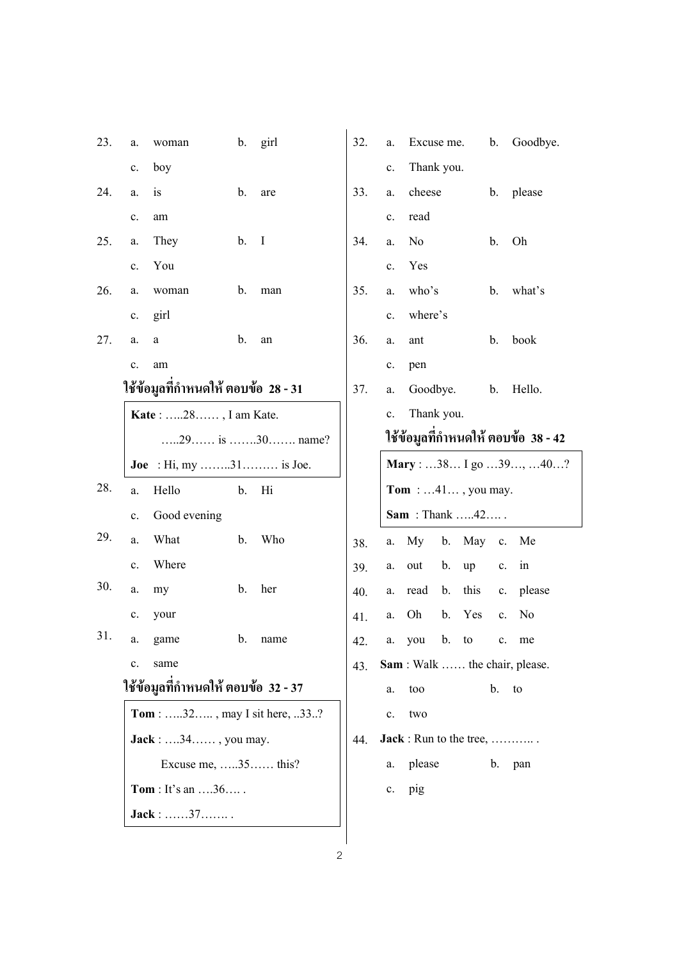| 23. | a. | woman                                |    | b. girl        | 32. | a.            | Excuse me.                   |               |      | b.            | Goodbye.                              |
|-----|----|--------------------------------------|----|----------------|-----|---------------|------------------------------|---------------|------|---------------|---------------------------------------|
|     | c. | boy                                  |    |                |     | c.            | Thank you.                   |               |      |               |                                       |
| 24. | a. | is                                   | b. | are            | 33. | a.            | cheese                       |               |      | b.            | please                                |
|     | c. | am                                   |    |                |     | c.            | read                         |               |      |               |                                       |
| 25. | a. | They                                 | b. | $\mathbf{I}$   | 34. | a.            | N <sub>0</sub>               |               |      | b.            | Oh                                    |
|     | c. | You                                  |    |                |     | c.            | Yes                          |               |      |               |                                       |
| 26. | a. | woman                                | b. | man            | 35. | a.            | who's                        |               |      | b.            | what's                                |
|     | c. | girl                                 |    |                |     | c.            | where's                      |               |      |               |                                       |
| 27. | a. | a                                    | b. | an             | 36. | a.            | ant                          |               |      | b.            | book                                  |
|     | c. | am                                   |    |                |     | c.            | pen                          |               |      |               |                                       |
|     |    | ใช้ข้อมูลที่กำหนดให้ ตอบข้อ  28 - 31 |    |                | 37. | a.            | Goodbye.                     |               |      | b.            | Hello.                                |
|     |    | Kate: 28, I am Kate.                 |    |                |     | $\mathbf{c}.$ | Thank you.                   |               |      |               |                                       |
|     |    |                                      |    | 29 is 30 name? |     |               |                              |               |      |               | ใช้ข้อมูลที่กำหนดให้ ตอบข้อ 38 - 42   |
|     |    | <b>Joe</b> : Hi, my 31 is Joe.       |    |                |     |               |                              |               |      |               | Mary : 38 I go 39, 40?                |
| 28. | a. | Hello                                | b. | Hi             |     |               | <b>Tom</b> : $41$ , you may. |               |      |               |                                       |
|     | c. | Good evening                         |    |                |     |               | <b>Sam</b> : Thank 42        |               |      |               |                                       |
| 29. | a. | What                                 | b. | Who            | 38. | a.            | My                           | b.            | May  | $\mathbf{c}.$ | Me                                    |
|     | c. | Where                                |    |                | 39. | a.            | out                          | b.            | up   | c.            | in                                    |
| 30. | a. | my                                   | b. | her            | 40. | a.            | read                         | b.            | this | c.            | please                                |
|     | c. | your                                 |    |                | 41. | a.            | Oh                           | b.            | Yes  | c.            | N <sub>0</sub>                        |
| 31. | a. | game                                 | b. | name           | 42. | a.            | you                          | $\mathbf b$ . | to   | c.            | me                                    |
|     | c. | same                                 |    |                | 43. |               |                              |               |      |               | <b>Sam</b> : Walk  the chair, please. |
|     |    | ใช้ข้อมูลที่กำหนดให้ ตอบข้อ 32 - 37  |    |                |     | a.            | too                          |               |      | b.            | to                                    |
|     |    | <b>Tom</b> : 32, may I sit here, 33? |    |                |     | c.            | two                          |               |      |               |                                       |
|     |    | $Jack: \ldots$ 34, you may.          |    |                | 44. |               | Jack : Run to the tree,      |               |      |               |                                       |
|     |    | Excuse me, $\dots$ 35 $\dots$ this?  |    |                |     | a.            | please                       |               |      | b.            | pan                                   |
|     |    | $Tom: It's an \ldots.36 \ldots.$     |    |                |     | c.            | pig                          |               |      |               |                                       |
|     |    | Jack: 37                             |    |                |     |               |                              |               |      |               |                                       |
|     |    |                                      |    |                |     |               |                              |               |      |               |                                       |
|     |    |                                      |    | 2              |     |               |                              |               |      |               |                                       |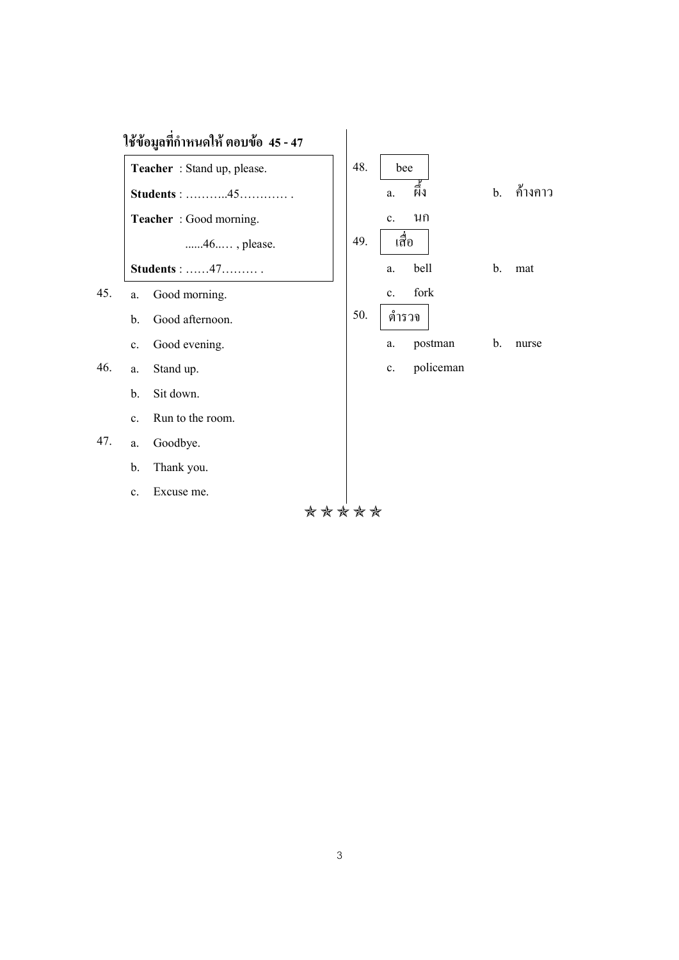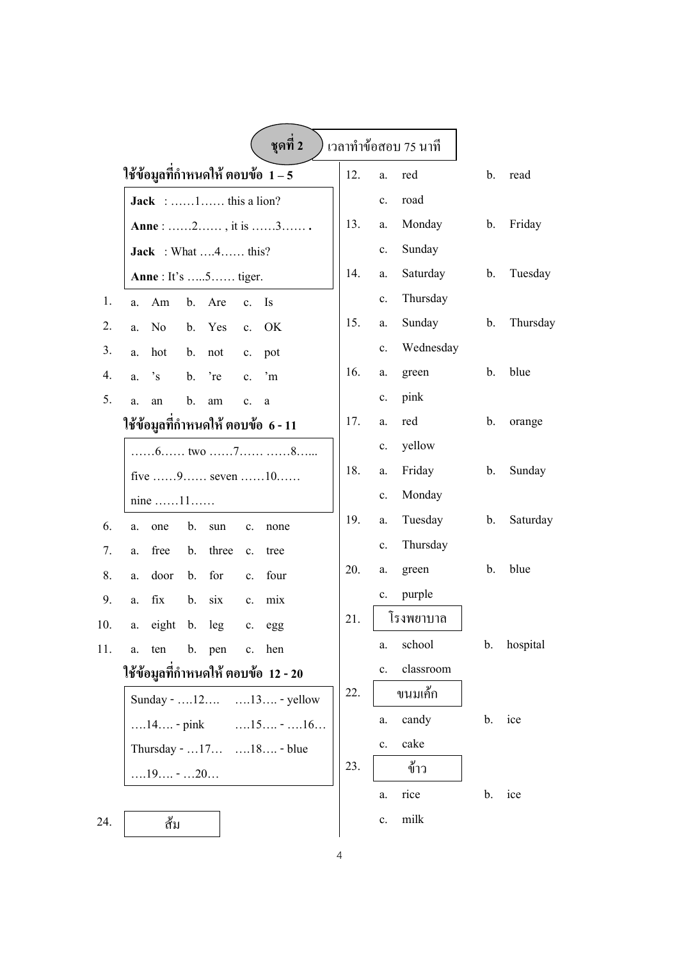|     | ชุดที่ 2                                                          |     |                | เวลาทำข้อสอบ 75 นาที |    |          |
|-----|-------------------------------------------------------------------|-----|----------------|----------------------|----|----------|
|     | ใช้ข้อมูลที่กำหนดให้ ตอบข้อ $\,1-5$                               | 12. | a.             | red                  | b. | read     |
|     | <b>Jack</b> : 1 this a lion?                                      |     | c.             | road                 |    |          |
|     | Anne : 2, it is 3                                                 | 13. | a.             | Monday               | b. | Friday   |
|     | <b>Jack</b> : What $4$ this?                                      |     | c.             | Sunday               |    |          |
|     | <b>Anne</b> : It's 5 tiger.                                       | 14. | a.             | Saturday             | b. | Tuesday  |
| 1.  | Am<br>b.<br>Are<br><b>Is</b><br>c.<br>a.                          |     | c.             | Thursday             |    |          |
| 2.  | OK<br>No<br>b.<br>Yes<br>$\mathbf{c}$ .<br>a.                     | 15. | a.             | Sunday               | b. | Thursday |
| 3.  | hot<br>b.<br>not<br>pot<br>a.<br>$\mathbf{c}.$                    |     | c.             | Wednesday            |    |          |
| 4.  | $\cdot_{\rm s}$<br>'re<br>$\cdot$ m<br>b.<br>$\mathbf{c}$ .<br>a. | 16. | a.             | green                | b. | blue     |
| 5.  | b.<br>an<br>am<br>c.<br>a<br>a.                                   |     | c.             | pink                 |    |          |
|     | ใช้ข้อมูลที่กำหนดให้ ตอบข้อ  6 - 11                               | 17. | a.             | red                  | b. | orange   |
|     | $\dots 6 \dots 6$ two $\dots 7 \dots 7 \dots 8 \dots$             |     | c.             | yellow               |    |          |
|     | five 9 seven 10                                                   | 18. | a.             | Friday               | b. | Sunday   |
|     | nine $\dots$ 11                                                   |     | c.             | Monday               |    |          |
| 6.  | b.<br>one<br>sun<br>a.<br>c.<br>none                              | 19. | a.             | Tuesday              | b. | Saturday |
| 7.  | free<br>three<br>b.<br>c.<br>tree<br>a.                           |     | c.             | Thursday             |    |          |
| 8.  | for<br>four<br>door<br>b.<br>a.<br>$c_{\cdot}$                    | 20. | a.             | green                | b. | blue     |
| 9.  | fix<br>six<br>b.<br>mix<br>a.<br>$c_{\cdot}$                      |     | c.             | purple               |    |          |
| 10. | eight<br>b.<br>leg<br>$\mathbf{c}.$<br>a.<br>egg                  | 21. |                | โรงพยาบาล            |    |          |
| 11. | b. pen<br>c. hen<br>ten<br>a.                                     |     | a.             | school               | b. | hospital |
|     | ใช้ข้อมูลที่กำหนดให้ ตอบข้อ  12 - 20                              |     | $\mathbf{c}$ . | classroom            |    |          |
|     | Sunday - $12$<br>$\dots$ 13 $\dots$ - yellow                      | 22. |                | ขนมเค้ก              |    |          |
|     | $\dots 15 \dots - \dots 16 \dots$<br>$\dots$ 14 - pink            |     | a.             | candy                | b. | ice      |
|     | Thursday - 17 18 - blue                                           |     | $\mathbf{c}$ . | cake                 |    |          |
|     | $\dots 19 \dots - \dots 20 \dots$                                 | 23. |                | ข้าว                 |    |          |
|     |                                                                   |     | a.             | rice                 | b. | ice      |
| 24. | ส้ม                                                               |     | c.             | milk                 |    |          |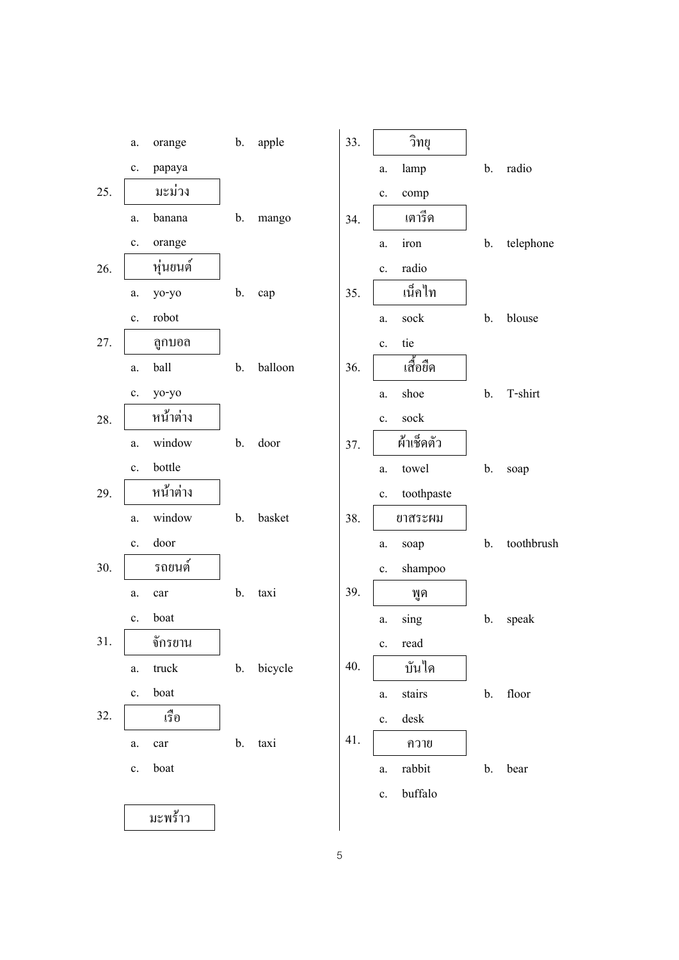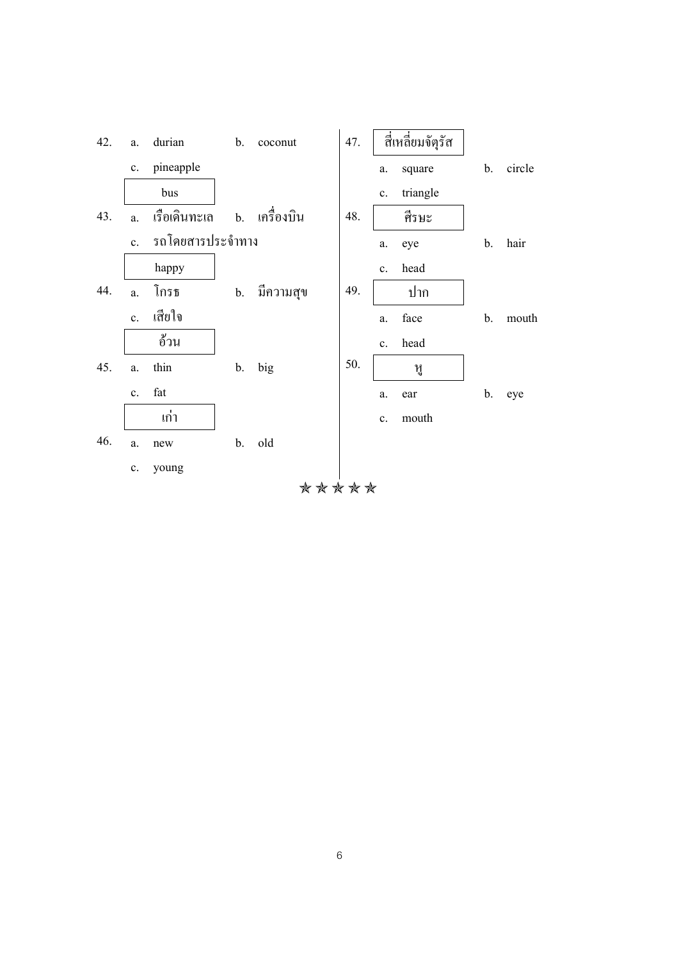

6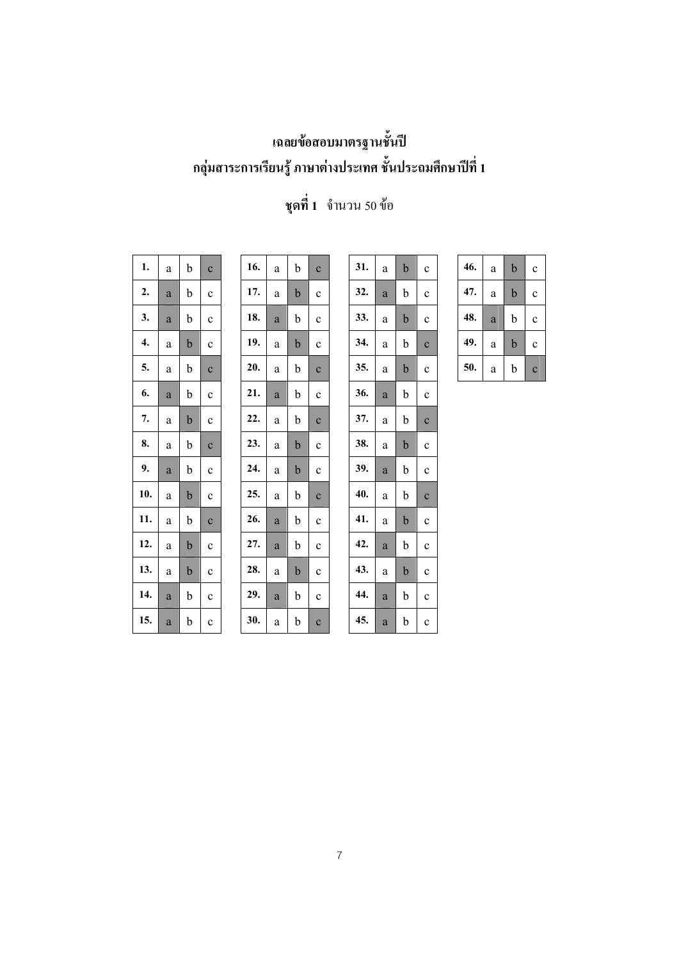## **เฉลยขอสอบมาตรฐานชั้นป กลุมสาระการเรียนรู ภาษาตางประเทศ ชั้นประถมศึกษาปที่ 1**

| 1.  | a | $\mathbf b$ | $\mathbf c$  |
|-----|---|-------------|--------------|
| 2.  | a | b           | $\mathbf c$  |
| 3.  | a | b           | $\mathbf c$  |
| 4.  | a | b           | $\mathbf c$  |
| 5.  | a | b           | $\mathbf c$  |
| 6.  | a | $\mathbf b$ | $\mathbf c$  |
| 7.  | a | $\mathbf b$ | $\mathbf c$  |
| 8.  | a | $\mathbf b$ | $\mathbf{C}$ |
| 9.  | a | b           | $\mathbf c$  |
| 10. | a | $\mathbf b$ | $\mathbf c$  |
| 11. | a | $\mathbf b$ | $\mathbf c$  |
| 12. | a | $\mathbf b$ | $\mathbf c$  |
| 13. | a | $\mathbf b$ | $\mathbf c$  |
| 14. | a | b           | $\mathbf c$  |
| 15. | a | $\mathbf b$ | $\mathbf c$  |

| 16. | a | b           | $\ddot{\text{c}}$   | 31. | a            | $\mathbf b$ | $\mathbf c$  |
|-----|---|-------------|---------------------|-----|--------------|-------------|--------------|
| 17. | a | b           | $\mathbf c$         | 32. | a            | b           | $\mathbf c$  |
| 18. | a | b           | $\mathbf c$         | 33. | a            | $\mathbf b$ | $\mathbf c$  |
| 19. | a | $\mathbf b$ | $\mathbf c$         | 34. | a            | b           | $\mathbf{C}$ |
| 20. | a | b           | $\mathbf{C}$        | 35. | a            | $\mathbf b$ | $\ddot{c}$   |
| 21. | a | b           | $\mathbf c$         | 36. | a            | b           | $\mathbf c$  |
| 22. | a | b           | $\mathbf{C}$        | 37. | a            | b           | $\mathbf{C}$ |
| 23. | a | $\mathbf b$ | $\mathbf c$         | 38. | a            | $\mathbf b$ | $\mathbf c$  |
| 24. | a | $\mathbf b$ | $\mathbf c$         | 39. | a            | b           | $\mathbf c$  |
| 25. | a | b           | $\mathbf{C}$        | 40. | a            | b           | $\mathbf c$  |
| 26. | a | b           | $\mathbf c$         | 41. | a            | $\mathbf b$ | $\mathbf c$  |
| 27. | a | b           | $\mathbf c$         | 42. | a            | $\mathbf b$ | $\mathbf c$  |
| 28. | a | $\mathbf b$ | $\mathbf c$         | 43. | a            | $\mathbf b$ | $\mathbf c$  |
| 29. | a | b           | $\mathbf c$         | 44. | a            | b           | $\mathbf c$  |
| 30. | a | b           | $\ddot{\mathbf{C}}$ | 45. | $\mathbf{a}$ | b           | $\mathbf c$  |

| 1.  | a | b           | $\mathbf{c}$ | 16. | a        | b           | $\mathbf{C}$ | 31. | a            | $\mathbf b$ | $\mathbf c$  | 46. | $\rm{a}$     | $\mathbf b$ | $\mathbf c$  |
|-----|---|-------------|--------------|-----|----------|-------------|--------------|-----|--------------|-------------|--------------|-----|--------------|-------------|--------------|
| 2.  | a | b           | $\mathbf{c}$ | 17. | a        | $\mathbf b$ | $\mathbf{C}$ | 32. | a            | b           | $\mathbf c$  | 47. | a            | $\mathbf b$ | $\mathbf c$  |
| 3.  | a | $\mathbf b$ | $\mathbf c$  | 18. | a        | b           | $\mathbf{c}$ | 33. | $\rm{a}$     | $\mathbf b$ | $\mathbf c$  | 48. | $\rm{a}$     | $\mathbf b$ | $\mathbf c$  |
| 4.  | a | $\mathbf b$ | $\mathbf c$  | 19. | a        | $\mathbf b$ | $\mathbf c$  | 34. | a            | $\mathbf b$ | $\mathbf{C}$ | 49. | a            | $\mathbf b$ | $\mathbf c$  |
| 5.  | a | $\mathbf b$ | $\mathbf{c}$ | 20. | a        | b           | $\mathbf{C}$ | 35. | a            | $\mathbf b$ | $\mathbf{C}$ | 50. | $\mathbf{a}$ | b           | $\mathbf{C}$ |
| 6.  | a | $\mathbf b$ | $\mathbf{c}$ | 21. | a        | b           | $\mathbf{c}$ | 36. | $\mathbf{a}$ | $\mathbf b$ | $\mathbf c$  |     |              |             |              |
| 7.  | a | b           | $\mathbf{c}$ | 22. | a        | $\mathbf b$ | $\mathbf{C}$ | 37. | a            | b           | $\mathbf{C}$ |     |              |             |              |
| 8.  | a | $\mathbf b$ | $\mathbf{c}$ | 23. | a        | $\mathbf b$ | $\mathbf c$  | 38. | a            | $\mathbf b$ | $\mathbf c$  |     |              |             |              |
| 9.  | a | $\mathbf b$ | $\mathbf c$  | 24. | a        | $\mathbf b$ | $\mathbf c$  | 39. | a            | $\mathbf b$ | $\mathbf c$  |     |              |             |              |
| 10. | a | $\mathbf b$ | $\mathbf c$  | 25. | a        | $\mathbf b$ | $\mathbf{C}$ | 40. | a            | $\mathbf b$ | $\mathbf C$  |     |              |             |              |
| 11. | a | $\mathbf b$ | $\mathbf{c}$ | 26. | a        | $\mathbf b$ | $\mathbf c$  | 41. | a            | $\mathbf b$ | $\mathbf c$  |     |              |             |              |
| 12. | a | $\mathbf b$ | $\mathbf{c}$ | 27. | a        | $\mathbf b$ | $\mathbf c$  | 42. | $\mathbf{a}$ | $\mathbf b$ | $\mathbf{c}$ |     |              |             |              |
| 13. | a | $\mathbf b$ | $\mathbf c$  | 28. | $\rm{a}$ | $\mathbf b$ | $\mathbf c$  | 43. | a            | $\mathbf b$ | $\mathbf c$  |     |              |             |              |
| 14. | a | b           | $\mathbf c$  | 29. | a        | b           | $\mathbf c$  | 44. | $\mathbf{a}$ | $\mathbf b$ | $\mathbf{c}$ |     |              |             |              |
|     |   |             |              |     |          |             |              |     |              |             |              |     |              |             |              |

# **ชุดที่ 1** จํานวน 50 ขอ

| 46. | a | b | C              |
|-----|---|---|----------------|
| 47. | a | b | c              |
| 48. | a | b | c              |
| 49. | a | b | C              |
| 50. | a | b | $\overline{c}$ |